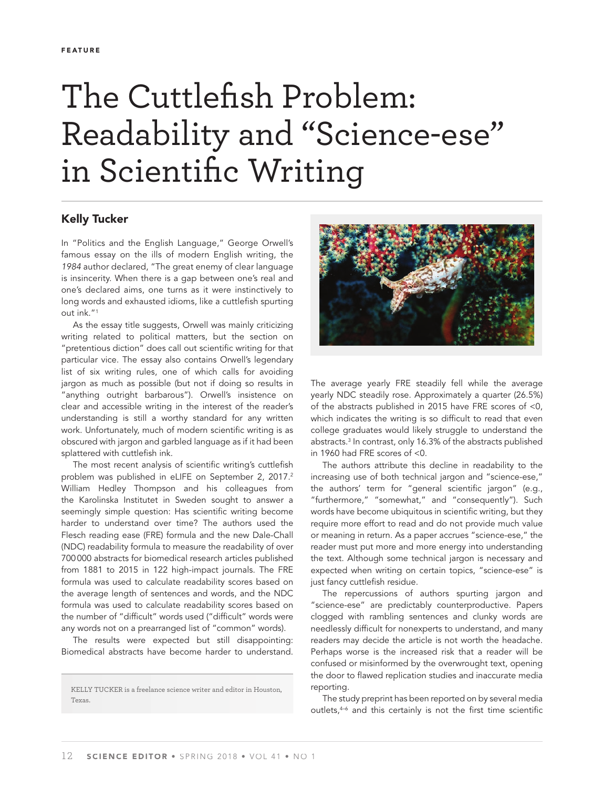## The Cuttlefish Problem: Readability and "Science-ese" in Scientific Writing

## **Kelly Tucker**

In "Politics and the English Language," George Orwell's famous essay on the ills of modern English writing, the 1984 author declared, "The great enemy of clear language is insincerity. When there is a gap between one's real and one's declared aims, one turns as it were instinctively to long words and exhausted idioms, like a cuttlefish spurting out ink."1

As the essay title suggests, Orwell was mainly criticizing writing related to political matters, but the section on "pretentious diction" does call out scientific writing for that particular vice. The essay also contains Orwell's legendary list of six writing rules, one of which calls for avoiding jargon as much as possible (but not if doing so results in "anything outright barbarous"). Orwell's insistence on clear and accessible writing in the interest of the reader's understanding is still a worthy standard for any written work. Unfortunately, much of modern scientific writing is as obscured with jargon and garbled language as if it had been splattered with cuttlefish ink.

The most recent analysis of scientific writing's cuttlefish problem was published in eLIFE on September 2, 2017.<sup>2</sup> William Hedley Thompson and his colleagues from the Karolinska Institutet in Sweden sought to answer a seemingly simple question: Has scientific writing become harder to understand over time? The authors used the Flesch reading ease (FRE) formula and the new Dale-Chall (NDC) readability formula to measure the readability of over 700 000 abstracts for biomedical research articles published from 1881 to 2015 in 122 high-impact journals. The FRE formula was used to calculate readability scores based on the average length of sentences and words, and the NDC formula was used to calculate readability scores based on the number of "difficult" words used ("difficult" words were any words not on a prearranged list of "common" words).

The results were expected but still disappointing: Biomedical abstracts have become harder to understand.



The average yearly FRE steadily fell while the average yearly NDC steadily rose. Approximately a quarter (26.5%) of the abstracts published in 2015 have FRE scores of <0, which indicates the writing is so difficult to read that even college graduates would likely struggle to understand the abstracts.3 In contrast, only 16.3% of the abstracts published in 1960 had FRE scores of <0.

The authors attribute this decline in readability to the increasing use of both technical jargon and "science-ese," the authors' term for "general scientific jargon" (e.g., "furthermore," "somewhat," and "consequently"). Such words have become ubiquitous in scientific writing, but they require more effort to read and do not provide much value or meaning in return. As a paper accrues "science-ese," the reader must put more and more energy into understanding the text. Although some technical jargon is necessary and expected when writing on certain topics, "science-ese" is just fancy cuttlefish residue.

The repercussions of authors spurting jargon and "science-ese" are predictably counterproductive. Papers clogged with rambling sentences and clunky words are needlessly difficult for nonexperts to understand, and many readers may decide the article is not worth the headache. Perhaps worse is the increased risk that a reader will be confused or misinformed by the overwrought text, opening the door to flawed replication studies and inaccurate media reporting.

The study preprint has been reported on by several media outlets,<sup>4-6</sup> and this certainly is not the first time scientific

KELLY TUCKER is a freelance science writer and editor in Houston, Texas.